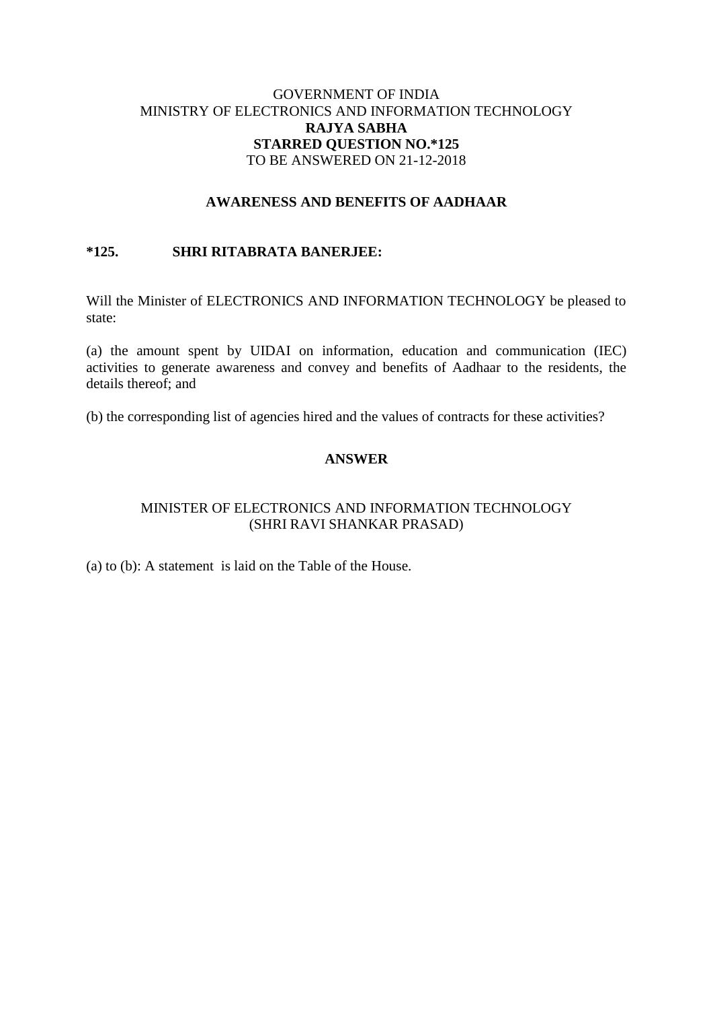# GOVERNMENT OF INDIA MINISTRY OF ELECTRONICS AND INFORMATION TECHNOLOGY **RAJYA SABHA STARRED QUESTION NO.\*125** TO BE ANSWERED ON 21-12-2018

#### **AWARENESS AND BENEFITS OF AADHAAR**

#### **\*125. SHRI RITABRATA BANERJEE:**

Will the Minister of ELECTRONICS AND INFORMATION TECHNOLOGY be pleased to state:

(a) the amount spent by UIDAI on information, education and communication (IEC) activities to generate awareness and convey and benefits of Aadhaar to the residents, the details thereof; and

(b) the corresponding list of agencies hired and the values of contracts for these activities?

# **ANSWER**

# MINISTER OF ELECTRONICS AND INFORMATION TECHNOLOGY (SHRI RAVI SHANKAR PRASAD)

(a) to (b): A statement is laid on the Table of the House.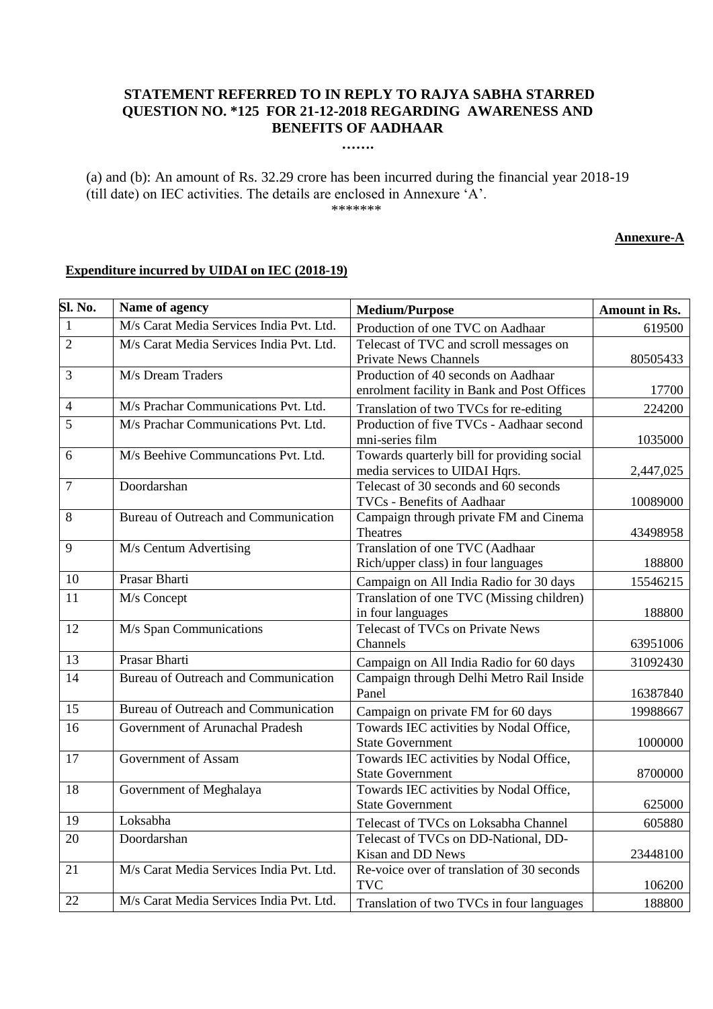# **STATEMENT REFERRED TO IN REPLY TO RAJYA SABHA STARRED QUESTION NO. \*125 FOR 21-12-2018 REGARDING AWARENESS AND BENEFITS OF AADHAAR**

**…….**

(a) and (b): An amount of Rs. 32.29 crore has been incurred during the financial year 2018-19 (till date) on IEC activities. The details are enclosed in Annexure 'A'. \*\*\*\*\*\*\*

**Annexure-A** 

#### **Expenditure incurred by UIDAI on IEC (2018-19)**

| <b>Sl. No.</b> | Name of agency                              | <b>Medium/Purpose</b>                                                  | <b>Amount in Rs.</b> |
|----------------|---------------------------------------------|------------------------------------------------------------------------|----------------------|
| $\mathbf{1}$   | M/s Carat Media Services India Pvt. Ltd.    | Production of one TVC on Aadhaar                                       | 619500               |
| $\overline{2}$ | M/s Carat Media Services India Pvt. Ltd.    | Telecast of TVC and scroll messages on                                 |                      |
|                |                                             | <b>Private News Channels</b>                                           | 80505433             |
| 3              | M/s Dream Traders                           | Production of 40 seconds on Aadhaar                                    |                      |
|                |                                             | enrolment facility in Bank and Post Offices                            | 17700                |
| $\overline{4}$ | M/s Prachar Communications Pvt. Ltd.        | Translation of two TVCs for re-editing                                 | 224200               |
| $\overline{5}$ | M/s Prachar Communications Pvt. Ltd.        | Production of five TVCs - Aadhaar second                               |                      |
|                |                                             | mni-series film                                                        | 1035000              |
| 6              | M/s Beehive Communcations Pvt. Ltd.         | Towards quarterly bill for providing social                            |                      |
|                | Doordarshan                                 | media services to UIDAI Hqrs.<br>Telecast of 30 seconds and 60 seconds | 2,447,025            |
| 7              |                                             | TVCs - Benefits of Aadhaar                                             | 10089000             |
| 8              | <b>Bureau of Outreach and Communication</b> | Campaign through private FM and Cinema                                 |                      |
|                |                                             | <b>Theatres</b>                                                        | 43498958             |
| 9              | M/s Centum Advertising                      | Translation of one TVC (Aadhaar                                        |                      |
|                |                                             | Rich/upper class) in four languages                                    | 188800               |
| 10             | Prasar Bharti                               | Campaign on All India Radio for 30 days                                | 15546215             |
| 11             | M/s Concept                                 | Translation of one TVC (Missing children)                              |                      |
|                |                                             | in four languages                                                      | 188800               |
| 12             | M/s Span Communications                     | <b>Telecast of TVCs on Private News</b>                                |                      |
|                |                                             | Channels                                                               | 63951006             |
| 13             | Prasar Bharti                               | Campaign on All India Radio for 60 days                                | 31092430             |
| 14             | Bureau of Outreach and Communication        | Campaign through Delhi Metro Rail Inside                               |                      |
|                |                                             | Panel                                                                  | 16387840             |
| 15             | <b>Bureau of Outreach and Communication</b> | Campaign on private FM for 60 days                                     | 19988667             |
| 16             | Government of Arunachal Pradesh             | Towards IEC activities by Nodal Office,                                |                      |
|                |                                             | <b>State Government</b>                                                | 1000000              |
| 17             | Government of Assam                         | Towards IEC activities by Nodal Office,                                |                      |
|                |                                             | <b>State Government</b>                                                | 8700000              |
| 18             | Government of Meghalaya                     | Towards IEC activities by Nodal Office,                                |                      |
|                |                                             | <b>State Government</b>                                                | 625000               |
| 19             | Loksabha                                    | Telecast of TVCs on Loksabha Channel                                   | 605880               |
| 20             | Doordarshan                                 | Telecast of TVCs on DD-National, DD-                                   |                      |
|                | M/s Carat Media Services India Pvt. Ltd.    | Kisan and DD News<br>Re-voice over of translation of 30 seconds        | 23448100             |
| 21             |                                             | <b>TVC</b>                                                             | 106200               |
| 22             | M/s Carat Media Services India Pvt. Ltd.    |                                                                        |                      |
|                |                                             | Translation of two TVCs in four languages                              | 188800               |